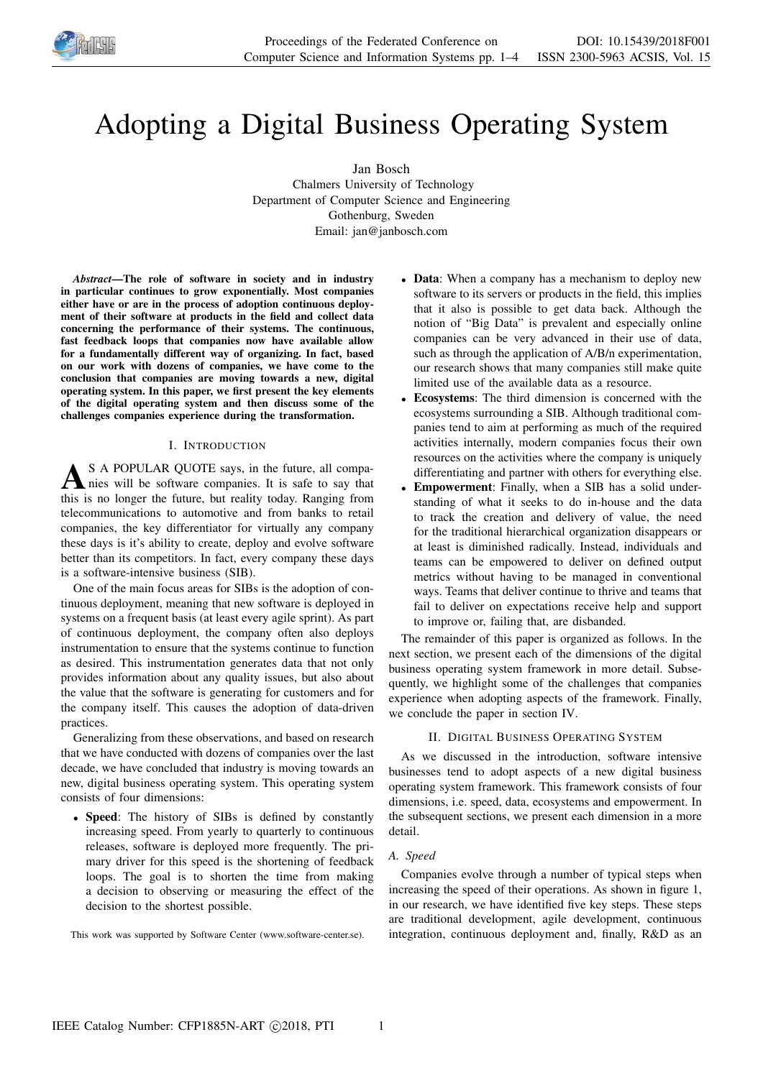

# Adopting a Digital Business Operating System

Jan Bosch Chalmers University of Technology Department of Computer Science and Engineering Gothenburg, Sweden Email: jan@janbosch.com

*Abstract*—The role of software in society and in industry in particular continues to grow exponentially. Most companies either have or are in the process of adoption continuous deployment of their software at products in the field and collect data concerning the performance of their systems. The continuous, fast feedback loops that companies now have available allow for a fundamentally different way of organizing. In fact, based on our work with dozens of companies, we have come to the conclusion that companies are moving towards a new, digital operating system. In this paper, we first present the key elements of the digital operating system and then discuss some of the challenges companies experience during the transformation.

# I. INTRODUCTION

A S A POPULAR QUOTE says, in the future, all companies will be software companies. It is safe to say that this is no longer the future, but reality today. Ranging from S A POPULAR QUOTE says, in the future, all companies will be software companies. It is safe to say that telecommunications to automotive and from banks to retail companies, the key differentiator for virtually any company these days is it's ability to create, deploy and evolve software better than its competitors. In fact, every company these days is a software-intensive business (SIB).

One of the main focus areas for SIBs is the adoption of continuous deployment, meaning that new software is deployed in systems on a frequent basis (at least every agile sprint). As part of continuous deployment, the company often also deploys instrumentation to ensure that the systems continue to function as desired. This instrumentation generates data that not only provides information about any quality issues, but also about the value that the software is generating for customers and for the company itself. This causes the adoption of data-driven practices.

Generalizing from these observations, and based on research that we have conducted with dozens of companies over the last decade, we have concluded that industry is moving towards an new, digital business operating system. This operating system consists of four dimensions:

• Speed: The history of SIBs is defined by constantly increasing speed. From yearly to quarterly to continuous releases, software is deployed more frequently. The primary driver for this speed is the shortening of feedback loops. The goal is to shorten the time from making a decision to observing or measuring the effect of the decision to the shortest possible.

This work was supported by Software Center (www.software-center.se).

- **Data**: When a company has a mechanism to deploy new software to its servers or products in the field, this implies that it also is possible to get data back. Although the notion of "Big Data" is prevalent and especially online companies can be very advanced in their use of data, such as through the application of A/B/n experimentation, our research shows that many companies still make quite limited use of the available data as a resource.
- Ecosystems: The third dimension is concerned with the ecosystems surrounding a SIB. Although traditional companies tend to aim at performing as much of the required activities internally, modern companies focus their own resources on the activities where the company is uniquely differentiating and partner with others for everything else.
- Empowerment: Finally, when a SIB has a solid understanding of what it seeks to do in-house and the data to track the creation and delivery of value, the need for the traditional hierarchical organization disappears or at least is diminished radically. Instead, individuals and teams can be empowered to deliver on defined output metrics without having to be managed in conventional ways. Teams that deliver continue to thrive and teams that fail to deliver on expectations receive help and support to improve or, failing that, are disbanded.

The remainder of this paper is organized as follows. In the next section, we present each of the dimensions of the digital business operating system framework in more detail. Subsequently, we highlight some of the challenges that companies experience when adopting aspects of the framework. Finally, we conclude the paper in section IV.

## II. DIGITAL BUSINESS OPERATING SYSTEM

As we discussed in the introduction, software intensive businesses tend to adopt aspects of a new digital business operating system framework. This framework consists of four dimensions, i.e. speed, data, ecosystems and empowerment. In the subsequent sections, we present each dimension in a more detail.

## *A. Speed*

Companies evolve through a number of typical steps when increasing the speed of their operations. As shown in figure 1, in our research, we have identified five key steps. These steps are traditional development, agile development, continuous integration, continuous deployment and, finally, R&D as an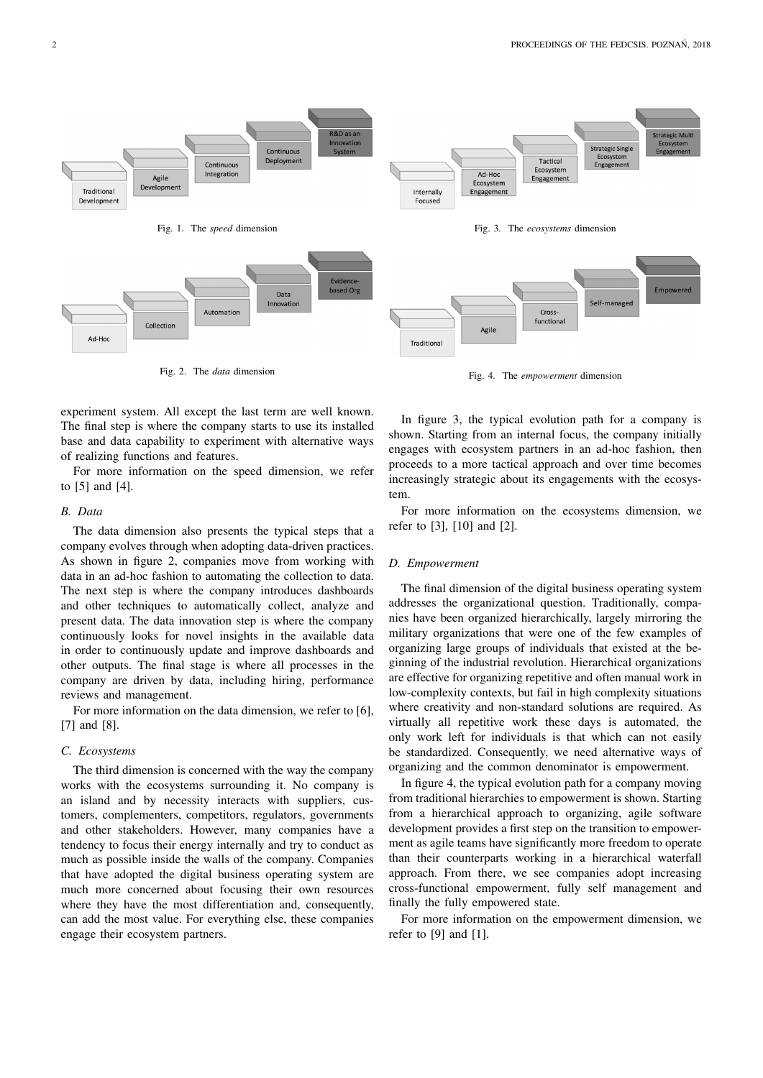

Fig. 2. The *data* dimension

experiment system. All except the last term are well known. The final step is where the company starts to use its installed base and data capability to experiment with alternative ways of realizing functions and features.

For more information on the speed dimension, we refer to [5] and [4].

## *B. Data*

The data dimension also presents the typical steps that a company evolves through when adopting data-driven practices. As shown in figure 2, companies move from working with data in an ad-hoc fashion to automating the collection to data. The next step is where the company introduces dashboards and other techniques to automatically collect, analyze and present data. The data innovation step is where the company continuously looks for novel insights in the available data in order to continuously update and improve dashboards and other outputs. The final stage is where all processes in the company are driven by data, including hiring, performance reviews and management.

For more information on the data dimension, we refer to [6], [7] and [8].

## *C. Ecosystems*

The third dimension is concerned with the way the company works with the ecosystems surrounding it. No company is an island and by necessity interacts with suppliers, customers, complementers, competitors, regulators, governments and other stakeholders. However, many companies have a tendency to focus their energy internally and try to conduct as much as possible inside the walls of the company. Companies that have adopted the digital business operating system are much more concerned about focusing their own resources where they have the most differentiation and, consequently, can add the most value. For everything else, these companies engage their ecosystem partners.

Fig. 4. The *empowerment* dimension

In figure 3, the typical evolution path for a company is shown. Starting from an internal focus, the company initially engages with ecosystem partners in an ad-hoc fashion, then proceeds to a more tactical approach and over time becomes increasingly strategic about its engagements with the ecosystem.

For more information on the ecosystems dimension, we refer to [3], [10] and [2].

#### *D. Empowerment*

The final dimension of the digital business operating system addresses the organizational question. Traditionally, companies have been organized hierarchically, largely mirroring the military organizations that were one of the few examples of organizing large groups of individuals that existed at the beginning of the industrial revolution. Hierarchical organizations are effective for organizing repetitive and often manual work in low-complexity contexts, but fail in high complexity situations where creativity and non-standard solutions are required. As virtually all repetitive work these days is automated, the only work left for individuals is that which can not easily be standardized. Consequently, we need alternative ways of organizing and the common denominator is empowerment.

In figure 4, the typical evolution path for a company moving from traditional hierarchies to empowerment is shown. Starting from a hierarchical approach to organizing, agile software development provides a first step on the transition to empowerment as agile teams have significantly more freedom to operate than their counterparts working in a hierarchical waterfall approach. From there, we see companies adopt increasing cross-functional empowerment, fully self management and finally the fully empowered state.

For more information on the empowerment dimension, we refer to [9] and [1].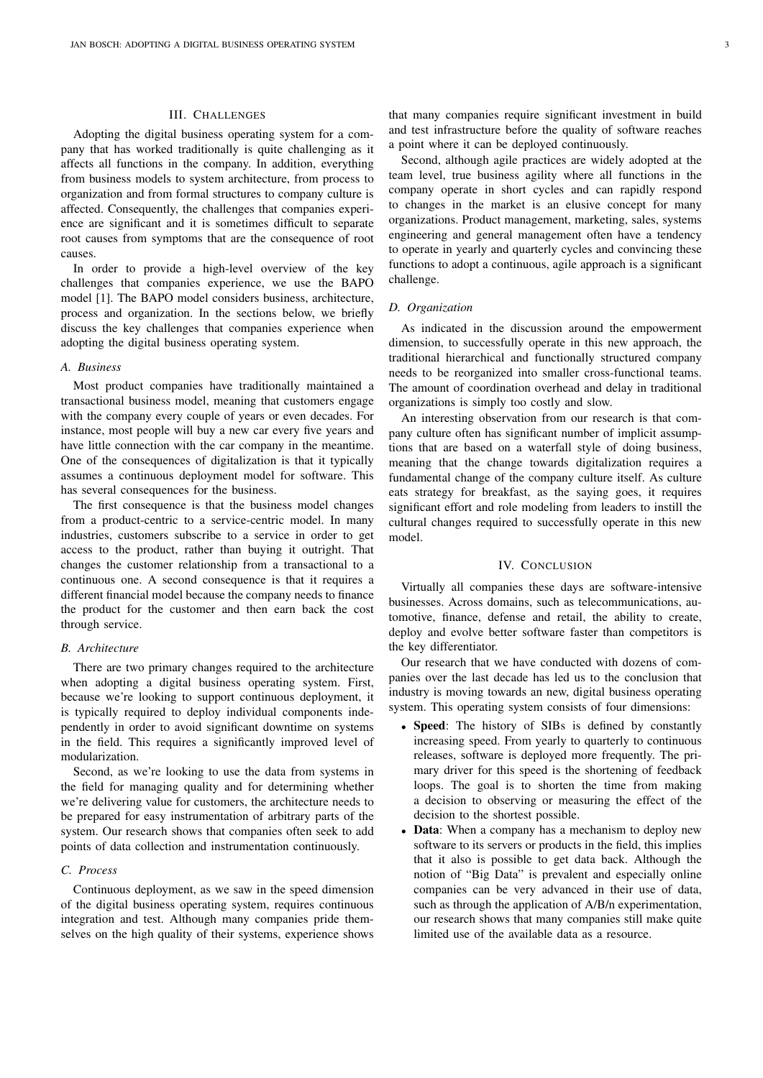## III. CHALLENGES

Adopting the digital business operating system for a company that has worked traditionally is quite challenging as it affects all functions in the company. In addition, everything from business models to system architecture, from process to organization and from formal structures to company culture is affected. Consequently, the challenges that companies experience are significant and it is sometimes difficult to separate root causes from symptoms that are the consequence of root causes.

In order to provide a high-level overview of the key challenges that companies experience, we use the BAPO model [1]. The BAPO model considers business, architecture, process and organization. In the sections below, we briefly discuss the key challenges that companies experience when adopting the digital business operating system.

### *A. Business*

Most product companies have traditionally maintained a transactional business model, meaning that customers engage with the company every couple of years or even decades. For instance, most people will buy a new car every five years and have little connection with the car company in the meantime. One of the consequences of digitalization is that it typically assumes a continuous deployment model for software. This has several consequences for the business.

The first consequence is that the business model changes from a product-centric to a service-centric model. In many industries, customers subscribe to a service in order to get access to the product, rather than buying it outright. That changes the customer relationship from a transactional to a continuous one. A second consequence is that it requires a different financial model because the company needs to finance the product for the customer and then earn back the cost through service.

#### *B. Architecture*

There are two primary changes required to the architecture when adopting a digital business operating system. First, because we're looking to support continuous deployment, it is typically required to deploy individual components independently in order to avoid significant downtime on systems in the field. This requires a significantly improved level of modularization.

Second, as we're looking to use the data from systems in the field for managing quality and for determining whether we're delivering value for customers, the architecture needs to be prepared for easy instrumentation of arbitrary parts of the system. Our research shows that companies often seek to add points of data collection and instrumentation continuously.

# *C. Process*

Continuous deployment, as we saw in the speed dimension of the digital business operating system, requires continuous integration and test. Although many companies pride themselves on the high quality of their systems, experience shows that many companies require significant investment in build and test infrastructure before the quality of software reaches a point where it can be deployed continuously.

Second, although agile practices are widely adopted at the team level, true business agility where all functions in the company operate in short cycles and can rapidly respond to changes in the market is an elusive concept for many organizations. Product management, marketing, sales, systems engineering and general management often have a tendency to operate in yearly and quarterly cycles and convincing these functions to adopt a continuous, agile approach is a significant challenge.

# *D. Organization*

As indicated in the discussion around the empowerment dimension, to successfully operate in this new approach, the traditional hierarchical and functionally structured company needs to be reorganized into smaller cross-functional teams. The amount of coordination overhead and delay in traditional organizations is simply too costly and slow.

An interesting observation from our research is that company culture often has significant number of implicit assumptions that are based on a waterfall style of doing business, meaning that the change towards digitalization requires a fundamental change of the company culture itself. As culture eats strategy for breakfast, as the saying goes, it requires significant effort and role modeling from leaders to instill the cultural changes required to successfully operate in this new model.

## IV. CONCLUSION

Virtually all companies these days are software-intensive businesses. Across domains, such as telecommunications, automotive, finance, defense and retail, the ability to create, deploy and evolve better software faster than competitors is the key differentiator.

Our research that we have conducted with dozens of companies over the last decade has led us to the conclusion that industry is moving towards an new, digital business operating system. This operating system consists of four dimensions:

- Speed: The history of SIBs is defined by constantly increasing speed. From yearly to quarterly to continuous releases, software is deployed more frequently. The primary driver for this speed is the shortening of feedback loops. The goal is to shorten the time from making a decision to observing or measuring the effect of the decision to the shortest possible.
- Data: When a company has a mechanism to deploy new software to its servers or products in the field, this implies that it also is possible to get data back. Although the notion of "Big Data" is prevalent and especially online companies can be very advanced in their use of data, such as through the application of  $A/B/n$  experimentation, our research shows that many companies still make quite limited use of the available data as a resource.